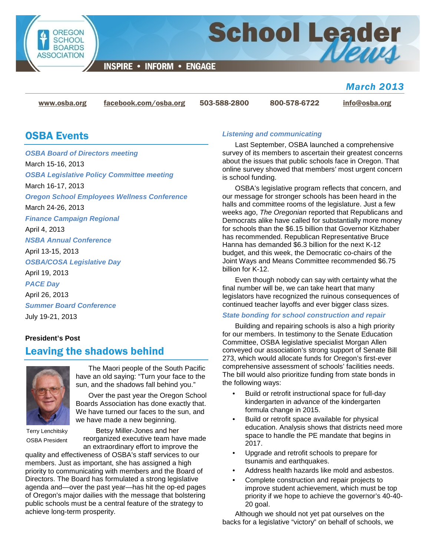

**INSPIRE • INFORM • ENGAGE** 

## *March 2013*

[www.osba.org](http://www.osba.org/) [facebook.com/osba.org](http://www.facebook.com/osba.org) 503-588-2800 800-578-6722 [info@osba.org](mailto:info@osba.org)

**School Leader** 

## OSBA Events

*OSBA Board of Directors meeting* March 15-16, 2013 *OSBA Legislative Policy Committee meeting* March 16-17, 2013 *Oregon School Employees Wellness Conference* March 24-26, 2013 *Finance Campaign Regional* April 4, 2013 *NSBA Annual Conference* April 13-15, 2013 *OSBA/COSA Legislative Day* April 19, 2013 *PACE Day* April 26, 2013 *Summer Board Conference* July 19-21, 2013

### **President's Post** Leaving the shadows behind



The Maori people of the South Pacific have an old saying: "Turn your face to the sun, and the shadows fall behind you."

Over the past year the Oregon School Boards Association has done exactly that. We have turned our faces to the sun, and we have made a new beginning.

Terry Lenchitsky OSBA President

Betsy Miller-Jones and her reorganized executive team have made an extraordinary effort to improve the

quality and effectiveness of OSBA's staff services to our members. Just as important, she has assigned a high priority to communicating with members and the Board of Directors. The Board has formulated a strong legislative agenda and—over the past year—has hit the op-ed pages of Oregon's major dailies with the message that bolstering public schools must be a central feature of the strategy to achieve long-term prosperity.

### *Listening and communicating*

Last September, OSBA launched a comprehensive survey of its members to ascertain their greatest concerns about the issues that public schools face in Oregon. That online survey showed that members' most urgent concern is school funding.

OSBA's legislative program reflects that concern, and our message for stronger schools has been heard in the halls and committee rooms of the legislature. Just a few weeks ago, *The Oregonian* reported that Republicans and Democrats alike have called for substantially more money for schools than the \$6.15 billion that Governor Kitzhaber has recommended. Republican Representative Bruce Hanna has demanded \$6.3 billion for the next K-12 budget, and this week, the Democratic co-chairs of the Joint Ways and Means Committee recommended \$6.75 billion for K-12.

Even though nobody can say with certainty what the final number will be, we can take heart that many legislators have recognized the ruinous consequences of continued teacher layoffs and ever bigger class sizes.

### *State bonding for school construction and repair*

Building and repairing schools is also a high priority for our members. In testimony to the Senate Education Committee, OSBA legislative specialist Morgan Allen conveyed our association's strong support of Senate Bill 273, which would allocate funds for Oregon's first-ever comprehensive assessment of schools' facilities needs. The bill would also prioritize funding from state bonds in the following ways:

- Build or retrofit instructional space for full-day kindergarten in advance of the kindergarten formula change in 2015.
- Build or retrofit space available for physical education. Analysis shows that districts need more space to handle the PE mandate that begins in 2017.
- Upgrade and retrofit schools to prepare for tsunamis and earthquakes.
- Address health hazards like mold and asbestos.
- Complete construction and repair projects to improve student achievement, which must be top priority if we hope to achieve the governor's 40-40- 20 goal.

Although we should not yet pat ourselves on the backs for a legislative "victory" on behalf of schools, we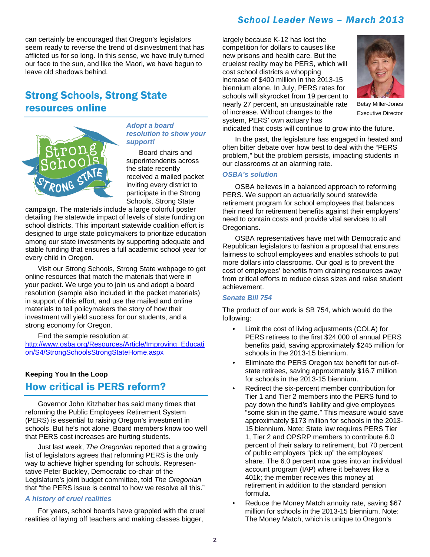### *School Leader News – March 2013*

can certainly be encouraged that Oregon's legislators seem ready to reverse the trend of disinvestment that has afflicted us for so long. In this sense, we have truly turned our face to the sun, and like the Maori, we have begun to leave old shadows behind.

# Strong Schools, Strong State resources online



### *Adopt a board resolution to show your support!*

Board chairs and superintendents across the state recently received a mailed packet inviting every district to participate in the Strong Schools, Strong State

campaign. The materials include a large colorful poster detailing the statewide impact of levels of state funding on school districts. This important statewide coalition effort is designed to urge state policymakers to prioritize education among our state investments by supporting adequate and stable funding that ensures a full academic school year for every child in Oregon.

Visit our Strong Schools, Strong State webpage to get online resources that match the materials that were in your packet. We urge you to join us and adopt a board resolution (sample also included in the packet materials) in support of this effort, and use the mailed and online materials to tell policymakers the story of how their investment will yield success for our students, and a strong economy for Oregon.

Find the sample resolution at:

[http://www.osba.org/Resources/Article/Improving\\_Educati](http://www.osba.org/Resources/Article/Improving_Education/S4/StrongSchoolsStrongStateHome.aspx) [on/S4/StrongSchoolsStrongStateHome.aspx](http://www.osba.org/Resources/Article/Improving_Education/S4/StrongSchoolsStrongStateHome.aspx)

### **Keeping You In the Loop**  How critical is PERS reform?

Governor John Kitzhaber has said many times that reforming the Public Employees Retirement System (PERS) is essential to raising Oregon's investment in schools. But he's not alone. Board members know too well that PERS cost increases are hurting students.

Just last week, *The Oregonian* reported that a growing list of legislators agrees that reforming PERS is the only way to achieve higher spending for schools. Representative Peter Buckley, Democratic co-chair of the Legislature's joint budget committee, told *The Oregonian* that "the PERS issue is central to how we resolve all this."

### *A history of cruel realities*

For years, school boards have grappled with the cruel realities of laying off teachers and making classes bigger,

largely because K-12 has lost the competition for dollars to causes like new prisons and health care. But the cruelest reality may be PERS, which will cost school districts a whopping increase of \$400 million in the 2013-15 biennium alone. In July, PERS rates for schools will skyrocket from 19 percent to nearly 27 percent, an unsustainable rate of increase. Without changes to the system, PERS' own actuary has



Betsy Miller-Jones Executive Director

indicated that costs will continue to grow into the future.

In the past, the legislature has engaged in heated and often bitter debate over how best to deal with the "PERS problem," but the problem persists, impacting students in our classrooms at an alarming rate.

#### *OSBA's solution*

OSBA believes in a balanced approach to reforming PERS. We support an actuarially sound statewide retirement program for school employees that balances their need for retirement benefits against their employers' need to contain costs and provide vital services to all Oregonians.

OSBA representatives have met with Democratic and Republican legislators to fashion a proposal that ensures fairness to school employees and enables schools to put more dollars into classrooms. Our goal is to prevent the cost of employees' benefits from draining resources away from critical efforts to reduce class sizes and raise student achievement.

### *Senate Bill 754*

The product of our work is SB 754, which would do the following:

- Limit the cost of living adjustments (COLA) for PERS retirees to the first \$24,000 of annual PERS benefits paid, saving approximately \$245 million for schools in the 2013-15 biennium.
- Eliminate the PERS Oregon tax benefit for out-ofstate retirees, saving approximately \$16.7 million for schools in the 2013-15 biennium.
- Redirect the six-percent member contribution for Tier 1 and Tier 2 members into the PERS fund to pay down the fund's liability and give employees "some skin in the game." This measure would save approximately \$173 million for schools in the 2013- 15 biennium. Note: State law requires PERS Tier 1, Tier 2 and OPSRP members to contribute 6.0 percent of their salary to retirement, but 70 percent of public employers "pick up" the employees' share. The 6.0 percent now goes into an individual account program (IAP) where it behaves like a 401k; the member receives this money at retirement in addition to the standard pension formula.
- Reduce the Money Match annuity rate, saving \$67 million for schools in the 2013-15 biennium. Note: The Money Match, which is unique to Oregon's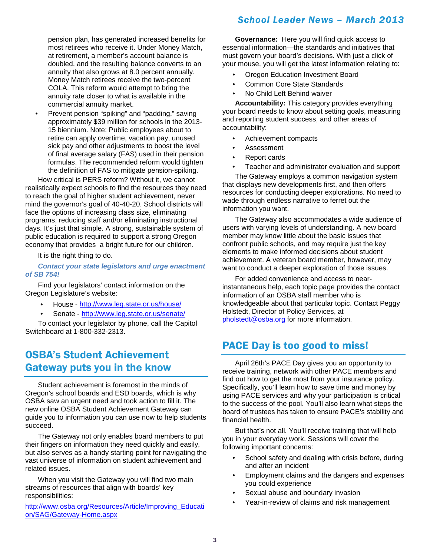pension plan, has generated increased benefits for most retirees who receive it. Under Money Match, at retirement, a member's account balance is doubled, and the resulting balance converts to an annuity that also grows at 8.0 percent annually. Money Match retirees receive the two-percent COLA. This reform would attempt to bring the annuity rate closer to what is available in the commercial annuity market.

• Prevent pension "spiking" and "padding," saving approximately \$39 million for schools in the 2013- 15 biennium. Note: Public employees about to retire can apply overtime, vacation pay, unused sick pay and other adjustments to boost the level of final average salary (FAS) used in their pension formulas. The recommended reform would tighten the definition of FAS to mitigate pension-spiking.

How critical is PERS reform? Without it, we cannot realistically expect schools to find the resources they need to reach the goal of higher student achievement, never mind the governor's goal of 40-40-20. School districts will face the options of increasing class size, eliminating programs, reducing staff and/or eliminating instructional days. It's just that simple. A strong, sustainable system of public education is required to support a strong Oregon economy that provides a bright future for our children.

It is the right thing to do.

### *Contact your state legislators and urge enactment of SB 754!*

Find your legislators' contact information on the Oregon Legislature's website:

- House <http://www.leg.state.or.us/house/>
- Senate <http://www.leg.state.or.us/senate/>

To contact your legislator by phone, call the Capitol Switchboard at 1-800-332-2313.

## OSBA's Student Achievement Gateway puts you in the know

Student achievement is foremost in the minds of Oregon's school boards and ESD boards, which is why OSBA saw an urgent need and took action to fill it. The new online OSBA Student Achievement Gateway can guide you to information you can use now to help students succeed.

The Gateway not only enables board members to put their fingers on information they need quickly and easily, but also serves as a handy starting point for navigating the vast universe of information on student achievement and related issues.

When you visit the Gateway you will find two main streams of resources that align with boards' key responsibilities:

[http://www.osba.org/Resources/Article/Improving\\_Educati](http://www.osba.org/Resources/Article/Improving_Education/SAG/Gateway-Home.aspx) [on/SAG/Gateway-Home.aspx](http://www.osba.org/Resources/Article/Improving_Education/SAG/Gateway-Home.aspx)

## *School Leader News – March 2013*

**Governance:** Here you will find quick access to essential information—the standards and initiatives that must govern your board's decisions. With just a click of your mouse, you will get the latest information relating to:

- Oregon Education Investment Board
- Common Core State Standards
- No Child Left Behind waiver

**Accountability:** This category provides everything your board needs to know about setting goals, measuring and reporting student success, and other areas of accountability:

- Achievement compacts
- Assessment
- Report cards
- Teacher and administrator evaluation and support

The Gateway employs a common navigation system that displays new developments first, and then offers resources for conducting deeper explorations. No need to wade through endless narrative to ferret out the information you want.

The Gateway also accommodates a wide audience of users with varying levels of understanding. A new board member may know little about the basic issues that confront public schools, and may require just the key elements to make informed decisions about student achievement. A veteran board member, however, may want to conduct a deeper exploration of those issues.

For added convenience and access to nearinstantaneous help, each topic page provides the contact information of an OSBA staff member who is knowledgeable about that particular topic. Contact Peggy Holstedt, Director of Policy Services, at [pholstedt@osba.org](mailto:pholstedt@osba.org?subject=Student%20Achievement%20Gateway) for more information.

## PACE Day is too good to miss!

April 26th's PACE Day gives you an opportunity to receive training, network with other PACE members and find out how to get the most from your insurance policy. Specifically, you'll learn how to save time and money by using PACE services and why your participation is critical to the success of the pool. You'll also learn what steps the board of trustees has taken to ensure PACE's stability and financial health.

But that's not all. You'll receive training that will help you in your everyday work. Sessions will cover the following important concerns:

- School safety and dealing with crisis before, during and after an incident
- Employment claims and the dangers and expenses you could experience
- Sexual abuse and boundary invasion
- Year-in-review of claims and risk management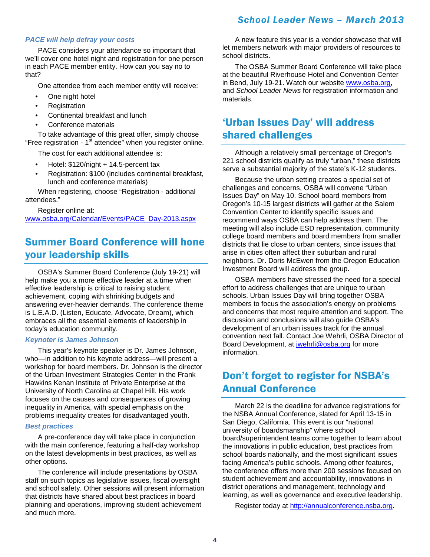### *School Leader News – March 2013*

### *PACE will help defray your costs*

PACE considers your attendance so important that we'll cover one hotel night and registration for one person in each PACE member entity. How can you say no to that?

One attendee from each member entity will receive:

- One night hotel
- **Registration**
- Continental breakfast and lunch
- Conference materials

To take advantage of this great offer, simply choose "Free registration - 1<sup>st</sup> attendee" when you register online.

The cost for each additional attendee is:

- Hotel: \$120/night + 14.5-percent tax
- Registration: \$100 (includes continental breakfast, lunch and conference materials)

When registering, choose "Registration - additional attendees."

Register online at: [www.osba.org/Calendar/Events/PACE\\_Day-2013.aspx](http://www.osba.org/Calendar/Events/PACE_Day-2013.aspx)

# Summer Board Conference will hone your leadership skills

OSBA's Summer Board Conference (July 19-21) will help make you a more effective leader at a time when effective leadership is critical to raising student achievement, coping with shrinking budgets and answering ever-heavier demands. The conference theme is L.E.A.D. (Listen, Educate, Advocate, Dream), which embraces all the essential elements of leadership in today's education community.

#### *Keynoter is James Johnson*

This year's keynote speaker is Dr. James Johnson, who—in addition to his keynote address—will present a workshop for board members. Dr. Johnson is the director of the Urban Investment Strategies Center in the Frank Hawkins Kenan Institute of Private Enterprise at the University of North Carolina at Chapel Hill. His work focuses on the causes and consequences of growing inequality in America, with special emphasis on the problems inequality creates for disadvantaged youth.

#### *Best practices*

A pre-conference day will take place in conjunction with the main conference, featuring a half-day workshop on the latest developments in best practices, as well as other options.

The conference will include presentations by OSBA staff on such topics as legislative issues, fiscal oversight and school safety. Other sessions will present information that districts have shared about best practices in board planning and operations, improving student achievement and much more.

A new feature this year is a vendor showcase that will let members network with major providers of resources to school districts.

The OSBA Summer Board Conference will take place at the beautiful Riverhouse Hotel and Convention Center in Bend, July 19-21. Watch our website [www.osba.org,](http://www.osba.org/) and *School Leader News* for registration information and materials.

## 'Urban Issues Day' will address shared challenges

Although a relatively small percentage of Oregon's 221 school districts qualify as truly "urban," these districts serve a substantial majority of the state's K-12 students.

Because the urban setting creates a special set of challenges and concerns, OSBA will convene "Urban Issues Day" on May 10. School board members from Oregon's 10-15 largest districts will gather at the Salem Convention Center to identify specific issues and recommend ways OSBA can help address them. The meeting will also include ESD representation, community college board members and board members from smaller districts that lie close to urban centers, since issues that arise in cities often affect their suburban and rural neighbors. Dr. Doris McEwen from the Oregon Education Investment Board will address the group.

OSBA members have stressed the need for a special effort to address challenges that are unique to urban schools. Urban Issues Day will bring together OSBA members to focus the association's energy on problems and concerns that most require attention and support. The discussion and conclusions will also guide OSBA's development of an urban issues track for the annual convention next fall. Contact Joe Wehrli, OSBA Director of Board Development, at [jwehrli@osba.org](mailto:jwehrli@osba.org?subject=Urban%20Day) for more information.

## Don't forget to register for NSBA's Annual Conference

March 22 is the deadline for advance registrations for the NSBA Annual Conference, slated for April 13-15 in San Diego, California. This event is our "national university of boardsmanship" where school board/superintendent teams come together to learn about the innovations in public education, best practices from school boards nationally, and the most significant issues facing America's public schools. Among other features, the conference offers more than 200 sessions focused on student achievement and accountability, innovations in district operations and management, technology and learning, as well as governance and executive leadership.

Register today at [http://annualconference.nsba.org.](http://annualconference.nsba.org/)